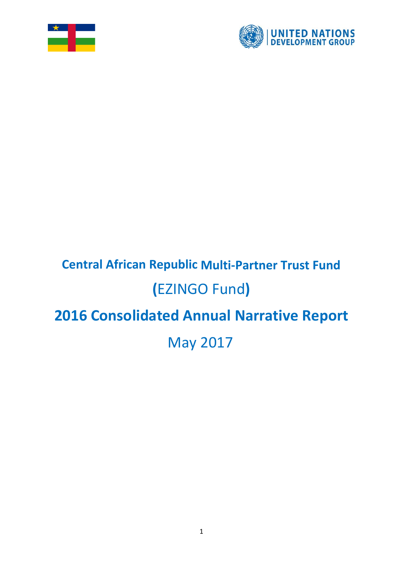



# **Central African Republic Multi-Partner Trust Fund (**EZINGO Fund**) 2016 Consolidated Annual Narrative Report** May 2017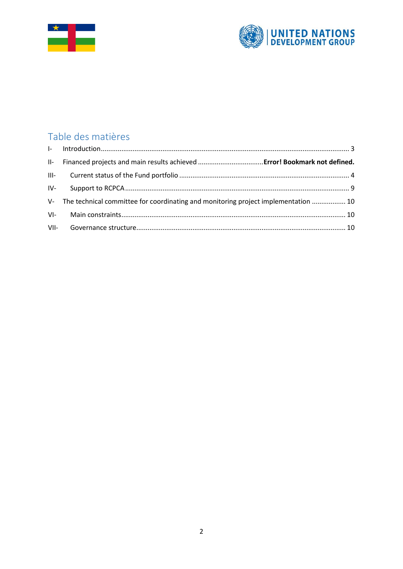



# Table des matières

| V- The technical committee for coordinating and monitoring project implementation  10 |
|---------------------------------------------------------------------------------------|
|                                                                                       |
|                                                                                       |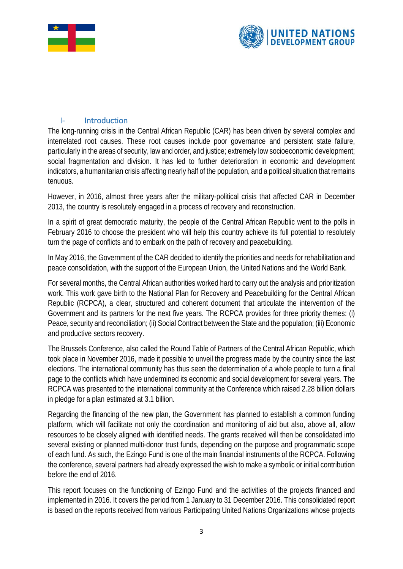



#### <span id="page-2-0"></span>I- Introduction

The long-running crisis in the Central African Republic (CAR) has been driven by several complex and interrelated root causes. These root causes include poor governance and persistent state failure, particularly in the areas of security, law and order, and justice; extremely low socioeconomic development; social fragmentation and division. It has led to further deterioration in economic and development indicators, a humanitarian crisis affecting nearly half of the population, and a political situation that remains tenuous.

However, in 2016, almost three years after the military-political crisis that affected CAR in December 2013, the country is resolutely engaged in a process of recovery and reconstruction.

In a spirit of great democratic maturity, the people of the Central African Republic went to the polls in February 2016 to choose the president who will help this country achieve its full potential to resolutely turn the page of conflicts and to embark on the path of recovery and peacebuilding.

In May 2016, the Government of the CAR decided to identify the priorities and needs for rehabilitation and peace consolidation, with the support of the European Union, the United Nations and the World Bank.

For several months, the Central African authorities worked hard to carry out the analysis and prioritization work. This work gave birth to the National Plan for Recovery and Peacebuilding for the Central African Republic (RCPCA), a clear, structured and coherent document that articulate the intervention of the Government and its partners for the next five years. The RCPCA provides for three priority themes: (i) Peace, security and reconciliation; (ii) Social Contract between the State and the population; (iii) Economic and productive sectors recovery.

The Brussels Conference, also called the Round Table of Partners of the Central African Republic, which took place in November 2016, made it possible to unveil the progress made by the country since the last elections. The international community has thus seen the determination of a whole people to turn a final page to the conflicts which have undermined its economic and social development for several years. The RCPCA was presented to the international community at the Conference which raised 2.28 billion dollars in pledge for a plan estimated at 3.1 billion.

Regarding the financing of the new plan, the Government has planned to establish a common funding platform, which will facilitate not only the coordination and monitoring of aid but also, above all, allow resources to be closely aligned with identified needs. The grants received will then be consolidated into several existing or planned multi-donor trust funds, depending on the purpose and programmatic scope of each fund. As such, the Ezingo Fund is one of the main financial instruments of the RCPCA. Following the conference, several partners had already expressed the wish to make a symbolic or initial contribution before the end of 2016.

This report focuses on the functioning of Ezingo Fund and the activities of the projects financed and implemented in 2016. It covers the period from 1 January to 31 December 2016. This consolidated report is based on the reports received from various Participating United Nations Organizations whose projects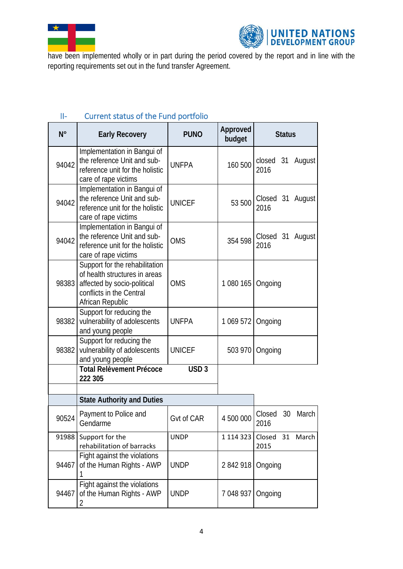



have been implemented wholly or in part during the period covered by the report and in line with the reporting requirements set out in the fund transfer Agreement.

| $N^{\circ}$ | <b>Early Recovery</b>                                                                                                                          | <b>PUNO</b>      | Approved<br>budget | <b>Status</b>                 |  |
|-------------|------------------------------------------------------------------------------------------------------------------------------------------------|------------------|--------------------|-------------------------------|--|
| 94042       | Implementation in Bangui of<br>the reference Unit and sub-<br>reference unit for the holistic<br>care of rape victims                          | <b>UNFPA</b>     | 160 500            | closed 31<br>August<br>2016   |  |
| 94042       | Implementation in Bangui of<br>the reference Unit and sub-<br>reference unit for the holistic<br>care of rape victims                          | <b>UNICEF</b>    | 53 500             | Closed 31 August<br>2016      |  |
| 94042       | Implementation in Bangui of<br>the reference Unit and sub-<br>reference unit for the holistic<br>care of rape victims                          | <b>OMS</b>       | 354 598            | Closed 31 August<br>2016      |  |
| 98383       | Support for the rehabilitation<br>of health structures in areas<br>affected by socio-political<br>conflicts in the Central<br>African Republic | <b>OMS</b>       | 1 080 165          | Ongoing                       |  |
| 98382       | Support for reducing the<br>vulnerability of adolescents<br>and young people                                                                   | <b>UNFPA</b>     | 1 069 572          | Ongoing                       |  |
| 98382       | Support for reducing the<br>vulnerability of adolescents<br>and young people                                                                   | <b>UNICEF</b>    | 503 970            | Ongoing                       |  |
|             | <b>Total Relèvement Précoce</b><br>222 305                                                                                                     | USD <sub>3</sub> |                    |                               |  |
|             | <b>State Authority and Duties</b>                                                                                                              |                  |                    |                               |  |
| 90524       | Payment to Police and<br>Gendarme                                                                                                              | Gvt of CAR       | 4 500 000          | Closed<br>30<br>March<br>2016 |  |
| 91988       | Support for the<br>rehabilitation of barracks                                                                                                  | <b>UNDP</b>      | 1 1 1 4 3 2 3      | Closed<br>31 March<br>2015    |  |
| 94467       | Fight against the violations<br>of the Human Rights - AWP                                                                                      | <b>UNDP</b>      | 2842918            | Ongoing                       |  |
| 94467       | Fight against the violations<br>of the Human Rights - AWP<br>2                                                                                 | <b>UNDP</b>      | 7 048 937          | Ongoing                       |  |

## <span id="page-3-0"></span>II- Current status of the Fund portfolio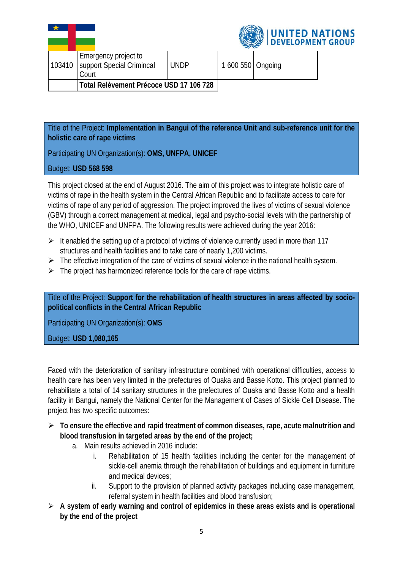| 103410 | Emergency project to<br>support Special Crimincal<br>Court | <b>UNDP</b> | 1 600 550 Ongoing |  |
|--------|------------------------------------------------------------|-------------|-------------------|--|
|        | Total Relèvement Précoce USD 17 106 728                    |             |                   |  |



Title of the Project: **Implementation in Bangui of the reference Unit and sub-reference unit for the holistic care of rape victims** 

Participating UN Organization(s): **OMS, UNFPA, UNICEF**

#### Budget: **USD 568 598**

This project closed at the end of August 2016. The aim of this project was to integrate holistic care of victims of rape in the health system in the Central African Republic and to facilitate access to care for victims of rape of any period of aggression. The project improved the lives of victims of sexual violence (GBV) through a correct management at medical, legal and psycho-social levels with the partnership of the WHO, UNICEF and UNFPA. The following results were achieved during the year 2016:

- $\triangleright$  It enabled the setting up of a protocol of victims of violence currently used in more than 117 structures and health facilities and to take care of nearly 1,200 victims.
- $\triangleright$  The effective integration of the care of victims of sexual violence in the national health system.
- $\triangleright$  The project has harmonized reference tools for the care of rape victims.

Title of the Project: **Support for the rehabilitation of health structures in areas affected by sociopolitical conflicts in the Central African Republic**

Participating UN Organization(s): **OMS**

Budget: **USD 1,080,165**

Faced with the deterioration of sanitary infrastructure combined with operational difficulties, access to health care has been very limited in the prefectures of Ouaka and Basse Kotto. This project planned to rehabilitate a total of 14 sanitary structures in the prefectures of Ouaka and Basse Kotto and a health facility in Bangui, namely the National Center for the Management of Cases of Sickle Cell Disease. The project has two specific outcomes:

- **To ensure the effective and rapid treatment of common diseases, rape, acute malnutrition and blood transfusion in targeted areas by the end of the project;**
	- a. Main results achieved in 2016 include:
		- i. Rehabilitation of 15 health facilities including the center for the management of sickle-cell anemia through the rehabilitation of buildings and equipment in furniture and medical devices;
		- ii. Support to the provision of planned activity packages including case management, referral system in health facilities and blood transfusion;
- **A system of early warning and control of epidemics in these areas exists and is operational by the end of the project**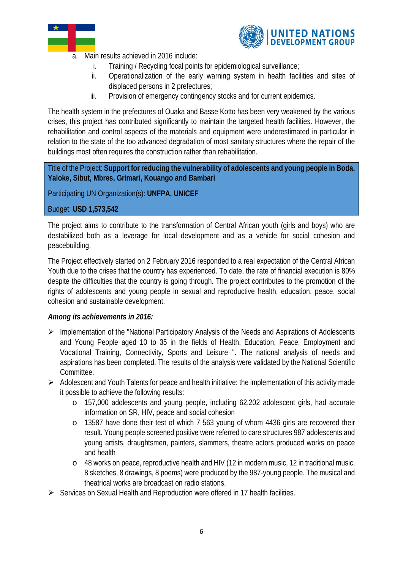



- a. Main results achieved in 2016 include:
	- i. Training / Recycling focal points for epidemiological surveillance;
	- ii. Operationalization of the early warning system in health facilities and sites of displaced persons in 2 prefectures;
	- iii. Provision of emergency contingency stocks and for current epidemics.

The health system in the prefectures of Ouaka and Basse Kotto has been very weakened by the various crises, this project has contributed significantly to maintain the targeted health facilities. However, the rehabilitation and control aspects of the materials and equipment were underestimated in particular in relation to the state of the too advanced degradation of most sanitary structures where the repair of the buildings most often requires the construction rather than rehabilitation.

Title of the Project: **Support for reducing the vulnerability of adolescents and young people in Boda, Yaloke, Sibut, Mbres, Grimari, Kouango and Bambari**

Participating UN Organization(s): **UNFPA, UNICEF**

#### Budget: **USD 1,573,542**

The project aims to contribute to the transformation of Central African youth (girls and boys) who are destabilized both as a leverage for local development and as a vehicle for social cohesion and peacebuilding.

The Project effectively started on 2 February 2016 responded to a real expectation of the Central African Youth due to the crises that the country has experienced. To date, the rate of financial execution is 80% despite the difficulties that the country is going through. The project contributes to the promotion of the rights of adolescents and young people in sexual and reproductive health, education, peace, social cohesion and sustainable development.

#### *Among its achievements in 2016:*

- $\triangleright$  Implementation of the "National Participatory Analysis of the Needs and Aspirations of Adolescents and Young People aged 10 to 35 in the fields of Health, Education, Peace, Employment and Vocational Training, Connectivity, Sports and Leisure ". The national analysis of needs and aspirations has been completed. The results of the analysis were validated by the National Scientific Committee.
- $\triangleright$  Adolescent and Youth Talents for peace and health initiative: the implementation of this activity made it possible to achieve the following results:
	- o 157,000 adolescents and young people, including 62,202 adolescent girls, had accurate information on SR, HIV, peace and social cohesion
	- o 13587 have done their test of which 7 563 young of whom 4436 girls are recovered their result. Young people screened positive were referred to care structures 987 adolescents and young artists, draughtsmen, painters, slammers, theatre actors produced works on peace and health
	- o 48 works on peace, reproductive health and HIV (12 in modern music, 12 in traditional music, 8 sketches, 8 drawings, 8 poems) were produced by the 987-young people. The musical and theatrical works are broadcast on radio stations.
- $\triangleright$  Services on Sexual Health and Reproduction were offered in 17 health facilities.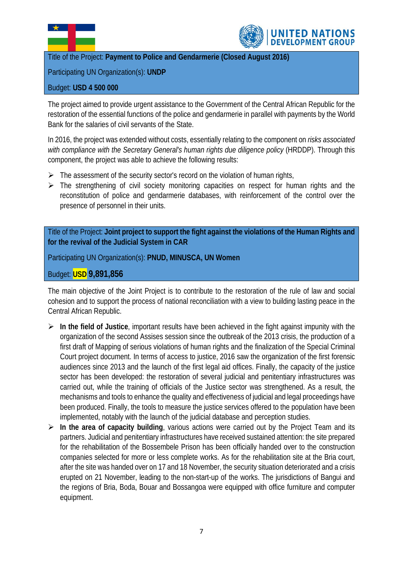



Title of the Project: **Payment to Police and Gendarmerie (Closed August 2016)**

Participating UN Organization(s): **UNDP**

#### Budget: **USD 4 500 000**

The project aimed to provide urgent assistance to the Government of the Central African Republic for the restoration of the essential functions of the police and gendarmerie in parallel with payments by the World Bank for the salaries of civil servants of the State.

In 2016, the project was extended without costs, essentially relating to the component on *risks associated with compliance with the Secretary General's human rights due diligence policy* (HRDDP). Through this component, the project was able to achieve the following results:

- $\triangleright$  The assessment of the security sector's record on the violation of human rights,
- $\triangleright$  The strengthening of civil society monitoring capacities on respect for human rights and the reconstitution of police and gendarmerie databases, with reinforcement of the control over the presence of personnel in their units.

Title of the Project: **Joint project to support the fight against the violations of the Human Rights and for the revival of the Judicial System in CAR**

Participating UN Organization(s): **PNUD, MINUSCA, UN Women**

Budget: **USD 9,891,856**

The main objective of the Joint Project is to contribute to the restoration of the rule of law and social cohesion and to support the process of national reconciliation with a view to building lasting peace in the Central African Republic.

- **In the field of Justice**, important results have been achieved in the fight against impunity with the organization of the second Assises session since the outbreak of the 2013 crisis, the production of a first draft of Mapping of serious violations of human rights and the finalization of the Special Criminal Court project document. In terms of access to justice, 2016 saw the organization of the first forensic audiences since 2013 and the launch of the first legal aid offices. Finally, the capacity of the justice sector has been developed: the restoration of several judicial and penitentiary infrastructures was carried out, while the training of officials of the Justice sector was strengthened. As a result, the mechanisms and tools to enhance the quality and effectiveness of judicial and legal proceedings have been produced. Finally, the tools to measure the justice services offered to the population have been implemented, notably with the launch of the judicial database and perception studies.
- **In the area of capacity building**, various actions were carried out by the Project Team and its partners. Judicial and penitentiary infrastructures have received sustained attention: the site prepared for the rehabilitation of the Bossembele Prison has been officially handed over to the construction companies selected for more or less complete works. As for the rehabilitation site at the Bria court, after the site was handed over on 17 and 18 November, the security situation deteriorated and a crisis erupted on 21 November, leading to the non-start-up of the works. The jurisdictions of Bangui and the regions of Bria, Boda, Bouar and Bossangoa were equipped with office furniture and computer equipment.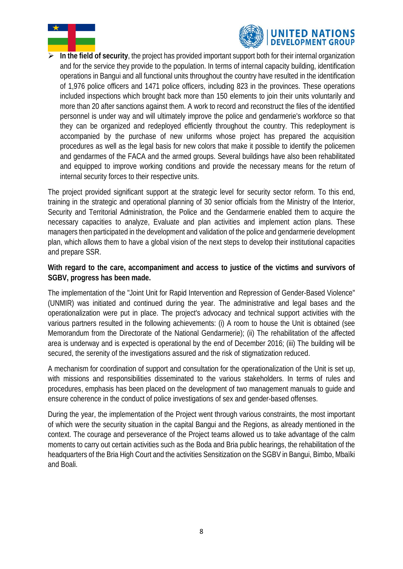



 **In the field of security**, the project has provided important support both for their internal organization and for the service they provide to the population. In terms of internal capacity building, identification operations in Bangui and all functional units throughout the country have resulted in the identification of 1,976 police officers and 1471 police officers, including 823 in the provinces. These operations included inspections which brought back more than 150 elements to join their units voluntarily and more than 20 after sanctions against them. A work to record and reconstruct the files of the identified personnel is under way and will ultimately improve the police and gendarmerie's workforce so that they can be organized and redeployed efficiently throughout the country. This redeployment is accompanied by the purchase of new uniforms whose project has prepared the acquisition procedures as well as the legal basis for new colors that make it possible to identify the policemen and gendarmes of the FACA and the armed groups. Several buildings have also been rehabilitated and equipped to improve working conditions and provide the necessary means for the return of internal security forces to their respective units.

The project provided significant support at the strategic level for security sector reform. To this end, training in the strategic and operational planning of 30 senior officials from the Ministry of the Interior, Security and Territorial Administration, the Police and the Gendarmerie enabled them to acquire the necessary capacities to analyze, Evaluate and plan activities and implement action plans. These managers then participated in the development and validation of the police and gendarmerie development plan, which allows them to have a global vision of the next steps to develop their institutional capacities and prepare SSR.

#### **With regard to the care, accompaniment and access to justice of the victims and survivors of SGBV, progress has been made.**

The implementation of the "Joint Unit for Rapid Intervention and Repression of Gender-Based Violence" (UNMIR) was initiated and continued during the year. The administrative and legal bases and the operationalization were put in place. The project's advocacy and technical support activities with the various partners resulted in the following achievements: (i) A room to house the Unit is obtained (see Memorandum from the Directorate of the National Gendarmerie); (ii) The rehabilitation of the affected area is underway and is expected is operational by the end of December 2016; (iii) The building will be secured, the serenity of the investigations assured and the risk of stigmatization reduced.

A mechanism for coordination of support and consultation for the operationalization of the Unit is set up, with missions and responsibilities disseminated to the various stakeholders. In terms of rules and procedures, emphasis has been placed on the development of two management manuals to guide and ensure coherence in the conduct of police investigations of sex and gender-based offenses.

During the year, the implementation of the Project went through various constraints, the most important of which were the security situation in the capital Bangui and the Regions, as already mentioned in the context. The courage and perseverance of the Project teams allowed us to take advantage of the calm moments to carry out certain activities such as the Boda and Bria public hearings, the rehabilitation of the headquarters of the Bria High Court and the activities Sensitization on the SGBV in Bangui, Bimbo, Mbaïki and Boali.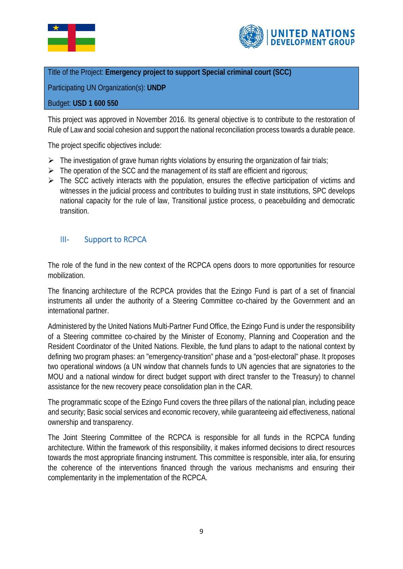



#### Title of the Project: **Emergency project to support Special criminal court (SCC)**

Participating UN Organization(s): **UNDP**

#### Budget: **USD 1 600 550**

This project was approved in November 2016. Its general objective is to contribute to the restoration of Rule of Law and social cohesion and support the national reconciliation process towards a durable peace.

The project specific objectives include:

- $\triangleright$  The investigation of grave human rights violations by ensuring the organization of fair trials;
- $\triangleright$  The operation of the SCC and the management of its staff are efficient and rigorous;
- $\triangleright$  The SCC actively interacts with the population, ensures the effective participation of victims and witnesses in the judicial process and contributes to building trust in state institutions, SPC develops national capacity for the rule of law, Transitional justice process, o peacebuilding and democratic transition.

#### <span id="page-8-0"></span>III- Support to RCPCA

The role of the fund in the new context of the RCPCA opens doors to more opportunities for resource mobilization.

The financing architecture of the RCPCA provides that the Ezingo Fund is part of a set of financial instruments all under the authority of a Steering Committee co-chaired by the Government and an international partner.

Administered by the United Nations Multi-Partner Fund Office, the Ezingo Fund is under the responsibility of a Steering committee co-chaired by the Minister of Economy, Planning and Cooperation and the Resident Coordinator of the United Nations. Flexible, the fund plans to adapt to the national context by defining two program phases: an "emergency-transition" phase and a "post-electoral" phase. It proposes two operational windows (a UN window that channels funds to UN agencies that are signatories to the MOU and a national window for direct budget support with direct transfer to the Treasury) to channel assistance for the new recovery peace consolidation plan in the CAR.

The programmatic scope of the Ezingo Fund covers the three pillars of the national plan, including peace and security; Basic social services and economic recovery, while guaranteeing aid effectiveness, national ownership and transparency.

The Joint Steering Committee of the RCPCA is responsible for all funds in the RCPCA funding architecture. Within the framework of this responsibility, it makes informed decisions to direct resources towards the most appropriate financing instrument. This committee is responsible, inter alia, for ensuring the coherence of the interventions financed through the various mechanisms and ensuring their complementarity in the implementation of the RCPCA.